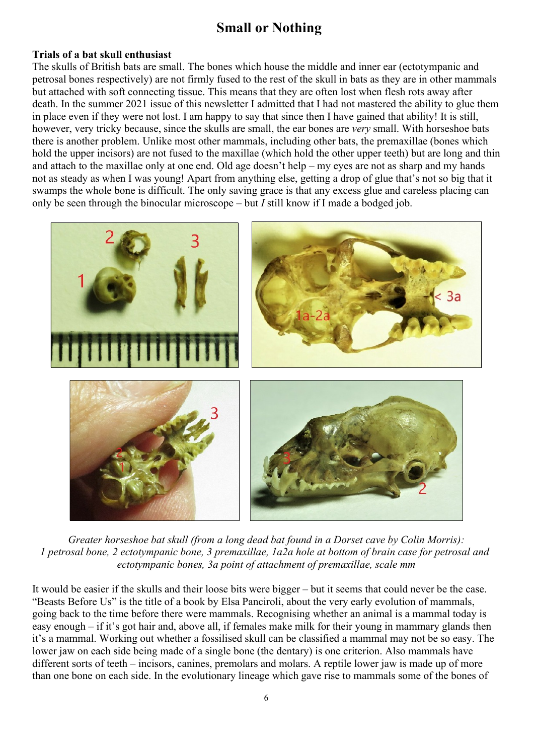## **Small or Nothing**

## **Trials of a bat skull enthusiast**

The skulls of British bats are small. The bones which house the middle and inner ear (ectotympanic and petrosal bones respectively) are not firmly fused to the rest of the skull in bats as they are in other mammals but attached with soft connecting tissue. This means that they are often lost when flesh rots away after death. In the summer 2021 issue of this newsletter I admitted that I had not mastered the ability to glue them in place even if they were not lost. I am happy to say that since then I have gained that ability! It is still, however, very tricky because, since the skulls are small, the ear bones are *very* small. With horseshoe bats there is another problem. Unlike most other mammals, including other bats, the premaxillae (bones which hold the upper incisors) are not fused to the maxillae (which hold the other upper teeth) but are long and thin and attach to the maxillae only at one end. Old age doesn't help – my eyes are not as sharp and my hands not as steady as when I was young! Apart from anything else, getting a drop of glue that's not so big that it swamps the whole bone is difficult. The only saving grace is that any excess glue and careless placing can only be seen through the binocular microscope – but *I* still know if I made a bodged job.



*Greater horseshoe bat skull (from a long dead bat found in a Dorset cave by Colin Morris): 1 petrosal bone, 2 ectotympanic bone, 3 premaxillae, 1a2a hole at bottom of brain case for petrosal and ectotympanic bones, 3a point of attachment of premaxillae, scale mm*

It would be easier if the skulls and their loose bits were bigger – but it seems that could never be the case. "Beasts Before Us" is the title of a book by Elsa Panciroli, about the very early evolution of mammals, going back to the time before there were mammals. Recognising whether an animal is a mammal today is easy enough – if it's got hair and, above all, if females make milk for their young in mammary glands then it's a mammal. Working out whether a fossilised skull can be classified a mammal may not be so easy. The lower jaw on each side being made of a single bone (the dentary) is one criterion. Also mammals have different sorts of teeth – incisors, canines, premolars and molars. A reptile lower jaw is made up of more than one bone on each side. In the evolutionary lineage which gave rise to mammals some of the bones of